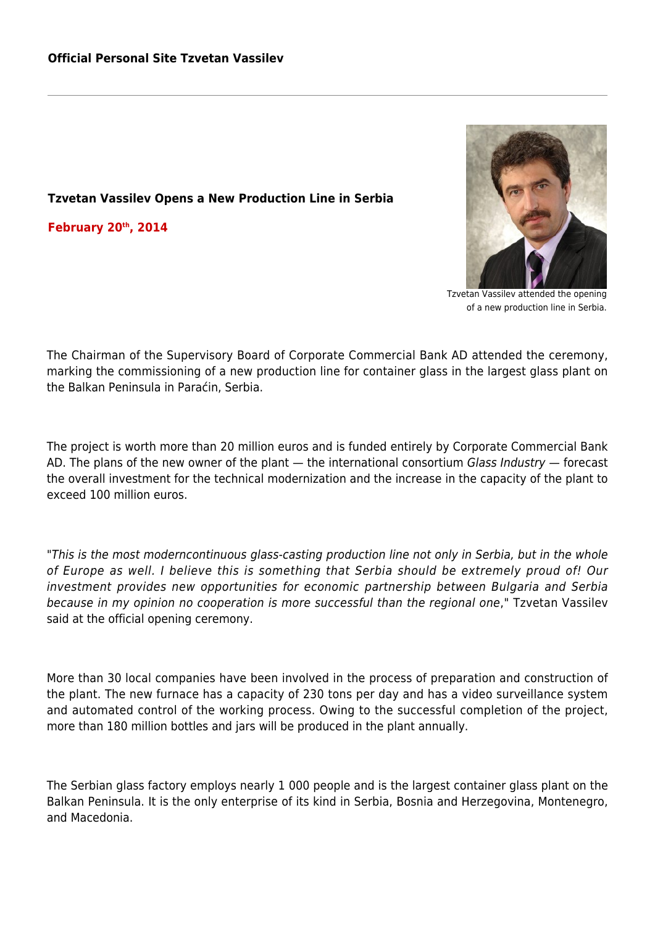## **Tzvetan Vassilev Opens a New Production Line in Serbia**

**February 20th, 2014**



Tzvetan Vassilev attended the opening of a new production line in Serbia.

The Chairman of the Supervisory Board of Corporate Commercial Bank AD attended the ceremony, marking the commissioning of a new production line for container glass in the largest glass plant on the Balkan Peninsula in Paraćin, Serbia.

The project is worth more than 20 million euros and is funded entirely by Corporate Commercial Bank AD. The plans of the new owner of the plant — the international consortium Glass Industry — forecast the overall investment for the technical modernization and the increase in the capacity of the plant to exceed 100 million euros.

"This is the most moderncontinuous glass-casting production line not only in Serbia, but in the whole of Europe as well. I believe this is something that Serbia should be extremely proud of! Our investment provides new opportunities for economic partnership between Bulgaria and Serbia because in my opinion no cooperation is more successful than the regional one," Tzvetan Vassilev said at the official opening ceremony.

More than 30 local companies have been involved in the process of preparation and construction of the plant. The new furnace has a capacity of 230 tons per day and has a video surveillance system and automated control of the working process. Owing to the successful completion of the project, more than 180 million bottles and jars will be produced in the plant annually.

The Serbian glass factory employs nearly 1 000 people and is the largest container glass plant on the Balkan Peninsula. It is the only enterprise of its kind in Serbia, Bosnia and Herzegovina, Montenegro, and Macedonia.